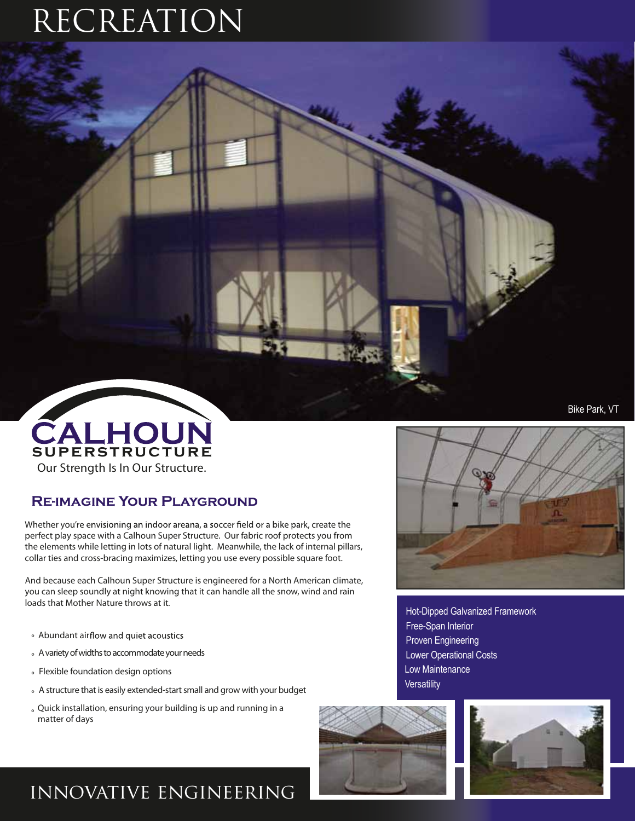# RECREATION

# Our Strength Is In Our Structure. CALHOUN

### **Re-imagine Your Playground**

Whether you're envisioning an indoor areana, a soccer field or a bike park, create the perfect play space with a Calhoun Super Structure. Our fabric roof protects you from the elements while letting in lots of natural light. Meanwhile, the lack of internal pillars, collar ties and cross-bracing maximizes, letting you use every possible square foot.

And because each Calhoun Super Structure is engineered for a North American climate, you can sleep soundly at night knowing that it can handle all the snow, wind and rain loads that Mother Nature throws at it.

- ° Abundant air
- ° A variety of widths to accommodate your needs
- ° Flexible foundation design options
- <sup>o</sup> A structure that is easily extended-start small and grow with your budget
- ° Quick installation, ensuring your building is up and running in a matter of days

#### Bike Park, VT



Hot-Dipped Galvanized Framework Free-Span Interior Proven Engineering Lower Operational Costs Low Maintenance **Versatility** 





## innovative engineering